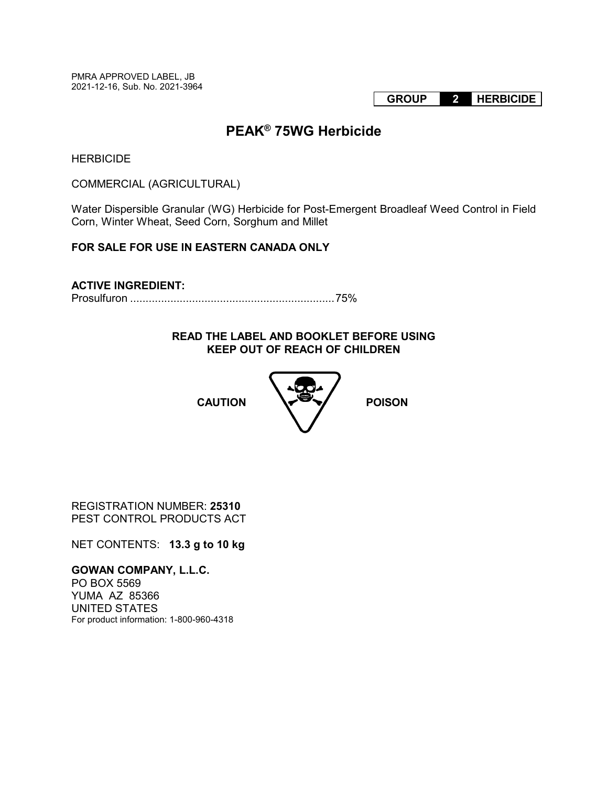PMRA APPROVED LABEL, JB 2021-12-16, Sub. No. 2021-3964

**GROUP 2 HERBICIDE**

# **PEAK® 75WG Herbicide**

**HERBICIDE** 

COMMERCIAL (AGRICULTURAL)

Water Dispersible Granular (WG) Herbicide for Post-Emergent Broadleaf Weed Control in Field Corn, Winter Wheat, Seed Corn, Sorghum and Millet

# **FOR SALE FOR USE IN EASTERN CANADA ONLY**

# **ACTIVE INGREDIENT:**

Prosulfuron .................................................................. 75%

# **READ THE LABEL AND BOOKLET BEFORE USING KEEP OUT OF REACH OF CHILDREN**



REGISTRATION NUMBER: **25310** PEST CONTROL PRODUCTS ACT

NET CONTENTS: **13.3 g to 10 kg**

**GOWAN COMPANY, L.L.C.**  PO BOX 5569 YUMA AZ 85366 UNITED STATES For product information: 1-800-960-4318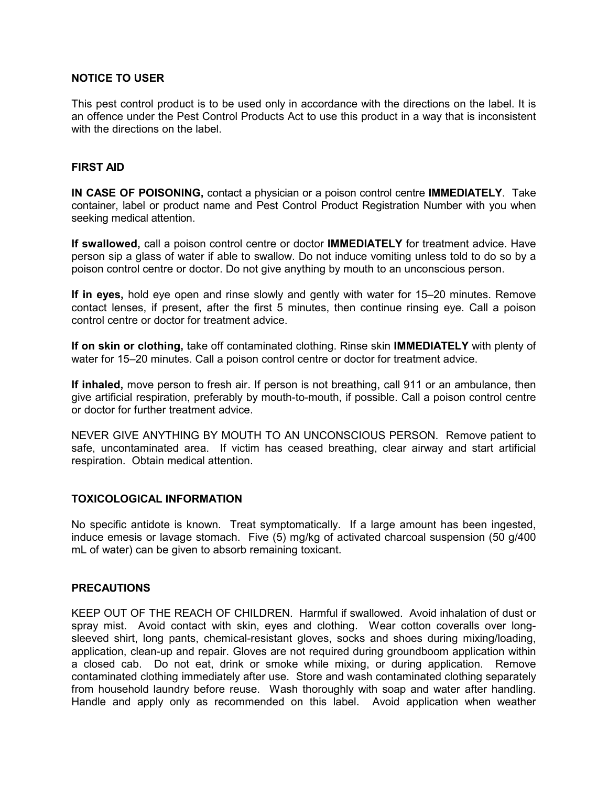# **NOTICE TO USER**

This pest control product is to be used only in accordance with the directions on the label. It is an offence under the Pest Control Products Act to use this product in a way that is inconsistent with the directions on the label.

#### **FIRST AID**

**IN CASE OF POISONING,** contact a physician or a poison control centre **IMMEDIATELY**. Take container, label or product name and Pest Control Product Registration Number with you when seeking medical attention.

**If swallowed,** call a poison control centre or doctor **IMMEDIATELY** for treatment advice. Have person sip a glass of water if able to swallow. Do not induce vomiting unless told to do so by a poison control centre or doctor. Do not give anything by mouth to an unconscious person.

**If in eyes,** hold eye open and rinse slowly and gently with water for 15–20 minutes. Remove contact lenses, if present, after the first 5 minutes, then continue rinsing eye. Call a poison control centre or doctor for treatment advice.

**If on skin or clothing,** take off contaminated clothing. Rinse skin **IMMEDIATELY** with plenty of water for 15–20 minutes. Call a poison control centre or doctor for treatment advice.

**If inhaled,** move person to fresh air. If person is not breathing, call 911 or an ambulance, then give artificial respiration, preferably by mouth-to-mouth, if possible. Call a poison control centre or doctor for further treatment advice.

NEVER GIVE ANYTHING BY MOUTH TO AN UNCONSCIOUS PERSON. Remove patient to safe, uncontaminated area. If victim has ceased breathing, clear airway and start artificial respiration. Obtain medical attention.

#### **TOXICOLOGICAL INFORMATION**

No specific antidote is known. Treat symptomatically. If a large amount has been ingested, induce emesis or lavage stomach. Five (5) mg/kg of activated charcoal suspension (50 g/400 mL of water) can be given to absorb remaining toxicant.

#### **PRECAUTIONS**

KEEP OUT OF THE REACH OF CHILDREN. Harmful if swallowed. Avoid inhalation of dust or spray mist. Avoid contact with skin, eyes and clothing. Wear cotton coveralls over longsleeved shirt, long pants, chemical-resistant gloves, socks and shoes during mixing/loading, application, clean-up and repair. Gloves are not required during groundboom application within a closed cab. Do not eat, drink or smoke while mixing, or during application. Remove contaminated clothing immediately after use. Store and wash contaminated clothing separately from household laundry before reuse. Wash thoroughly with soap and water after handling. Handle and apply only as recommended on this label. Avoid application when weather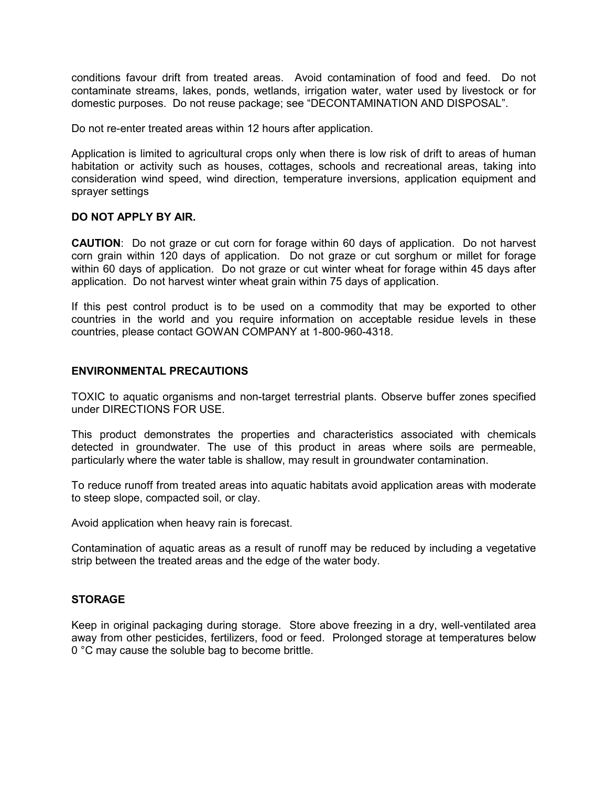conditions favour drift from treated areas. Avoid contamination of food and feed. Do not contaminate streams, lakes, ponds, wetlands, irrigation water, water used by livestock or for domestic purposes. Do not reuse package; see "DECONTAMINATION AND DISPOSAL".

Do not re-enter treated areas within 12 hours after application.

Application is limited to agricultural crops only when there is low risk of drift to areas of human habitation or activity such as houses, cottages, schools and recreational areas, taking into consideration wind speed, wind direction, temperature inversions, application equipment and sprayer settings

#### **DO NOT APPLY BY AIR.**

**CAUTION**: Do not graze or cut corn for forage within 60 days of application. Do not harvest corn grain within 120 days of application. Do not graze or cut sorghum or millet for forage within 60 days of application. Do not graze or cut winter wheat for forage within 45 days after application. Do not harvest winter wheat grain within 75 days of application.

If this pest control product is to be used on a commodity that may be exported to other countries in the world and you require information on acceptable residue levels in these countries, please contact GOWAN COMPANY at 1-800-960-4318.

# **ENVIRONMENTAL PRECAUTIONS**

TOXIC to aquatic organisms and non-target terrestrial plants. Observe buffer zones specified under DIRECTIONS FOR USE.

This product demonstrates the properties and characteristics associated with chemicals detected in groundwater. The use of this product in areas where soils are permeable, particularly where the water table is shallow, may result in groundwater contamination.

To reduce runoff from treated areas into aquatic habitats avoid application areas with moderate to steep slope, compacted soil, or clay.

Avoid application when heavy rain is forecast.

Contamination of aquatic areas as a result of runoff may be reduced by including a vegetative strip between the treated areas and the edge of the water body.

# **STORAGE**

Keep in original packaging during storage. Store above freezing in a dry, well-ventilated area away from other pesticides, fertilizers, food or feed. Prolonged storage at temperatures below 0 °C may cause the soluble bag to become brittle.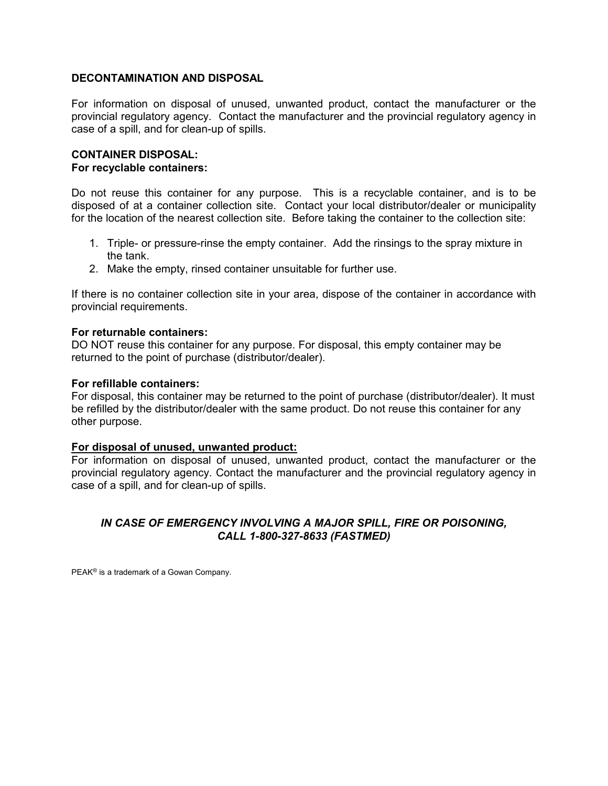# **DECONTAMINATION AND DISPOSAL**

For information on disposal of unused, unwanted product, contact the manufacturer or the provincial regulatory agency. Contact the manufacturer and the provincial regulatory agency in case of a spill, and for clean-up of spills.

# **CONTAINER DISPOSAL:**

#### **For recyclable containers:**

Do not reuse this container for any purpose. This is a recyclable container, and is to be disposed of at a container collection site. Contact your local distributor/dealer or municipality for the location of the nearest collection site. Before taking the container to the collection site:

- 1. Triple- or pressure-rinse the empty container. Add the rinsings to the spray mixture in the tank.
- 2. Make the empty, rinsed container unsuitable for further use.

If there is no container collection site in your area, dispose of the container in accordance with provincial requirements.

#### **For returnable containers:**

DO NOT reuse this container for any purpose. For disposal, this empty container may be returned to the point of purchase (distributor/dealer).

#### **For refillable containers:**

For disposal, this container may be returned to the point of purchase (distributor/dealer). It must be refilled by the distributor/dealer with the same product. Do not reuse this container for any other purpose.

#### **For disposal of unused, unwanted product:**

For information on disposal of unused, unwanted product, contact the manufacturer or the provincial regulatory agency. Contact the manufacturer and the provincial regulatory agency in case of a spill, and for clean-up of spills.

# *IN CASE OF EMERGENCY INVOLVING A MAJOR SPILL, FIRE OR POISONING, CALL 1-800-327-8633 (FASTMED)*

PEAK® is a trademark of a Gowan Company.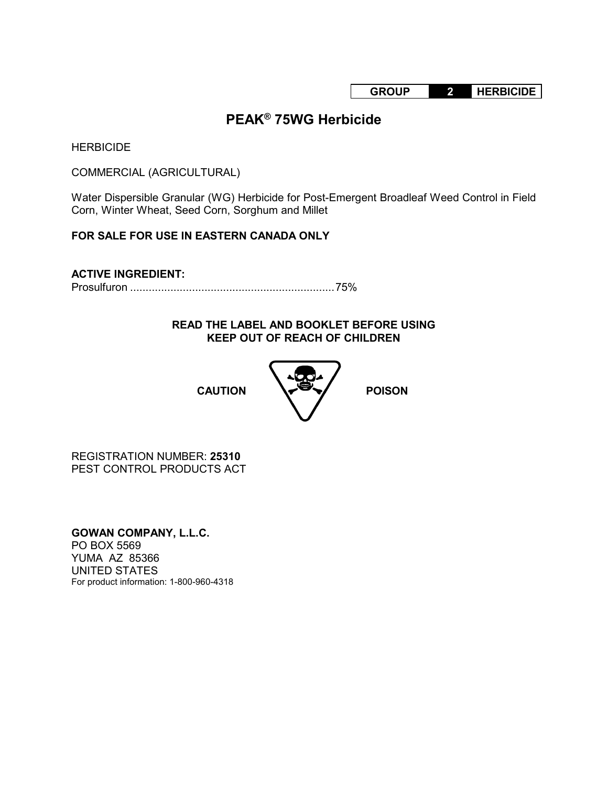**GROUP 2 HERBICIDE**

# **PEAK® 75WG Herbicide**

**HERBICIDE** 

COMMERCIAL (AGRICULTURAL)

Water Dispersible Granular (WG) Herbicide for Post-Emergent Broadleaf Weed Control in Field Corn, Winter Wheat, Seed Corn, Sorghum and Millet

# **FOR SALE FOR USE IN EASTERN CANADA ONLY**

**ACTIVE INGREDIENT:** Prosulfuron .................................................................. 75%

> **READ THE LABEL AND BOOKLET BEFORE USING KEEP OUT OF REACH OF CHILDREN**



REGISTRATION NUMBER: **25310** PEST CONTROL PRODUCTS ACT

**GOWAN COMPANY, L.L.C.**  PO BOX 5569 YUMA AZ 85366 UNITED STATES For product information: 1-800-960-4318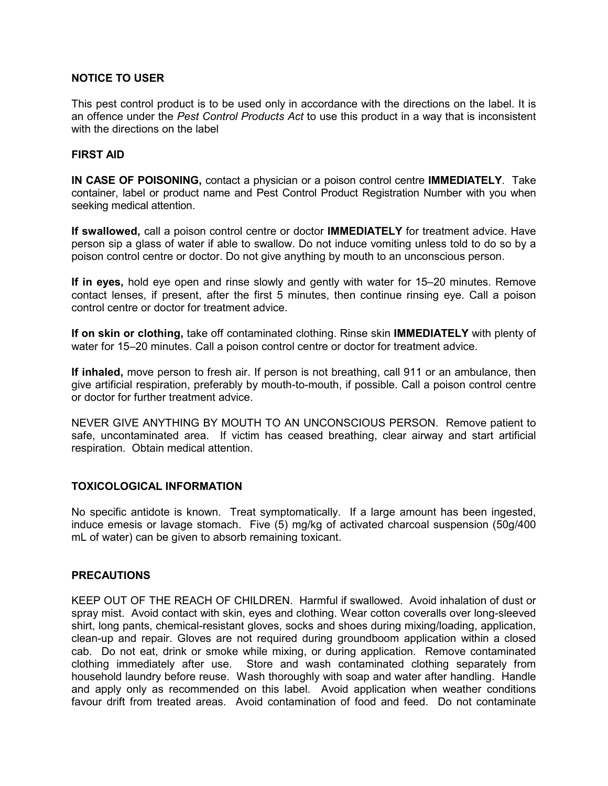# **NOTICE TO USER**

This pest control product is to be used only in accordance with the directions on the label. It is an offence under the *Pest Control Products Act* to use this product in a way that is inconsistent with the directions on the label

# **FIRST AID**

**IN CASE OF POISONING,** contact a physician or a poison control centre **IMMEDIATELY**. Take container, label or product name and Pest Control Product Registration Number with you when seeking medical attention.

**If swallowed,** call a poison control centre or doctor **IMMEDIATELY** for treatment advice. Have person sip a glass of water if able to swallow. Do not induce vomiting unless told to do so by a poison control centre or doctor. Do not give anything by mouth to an unconscious person.

**If in eyes,** hold eye open and rinse slowly and gently with water for 15–20 minutes. Remove contact lenses, if present, after the first 5 minutes, then continue rinsing eye. Call a poison control centre or doctor for treatment advice.

**If on skin or clothing,** take off contaminated clothing. Rinse skin **IMMEDIATELY** with plenty of water for 15–20 minutes. Call a poison control centre or doctor for treatment advice.

**If inhaled,** move person to fresh air. If person is not breathing, call 911 or an ambulance, then give artificial respiration, preferably by mouth-to-mouth, if possible. Call a poison control centre or doctor for further treatment advice.

NEVER GIVE ANYTHING BY MOUTH TO AN UNCONSCIOUS PERSON. Remove patient to safe, uncontaminated area. If victim has ceased breathing, clear airway and start artificial respiration. Obtain medical attention.

#### **TOXICOLOGICAL INFORMATION**

No specific antidote is known. Treat symptomatically. If a large amount has been ingested, induce emesis or lavage stomach. Five (5) mg/kg of activated charcoal suspension (50g/400 mL of water) can be given to absorb remaining toxicant.

#### **PRECAUTIONS**

KEEP OUT OF THE REACH OF CHILDREN. Harmful if swallowed. Avoid inhalation of dust or spray mist. Avoid contact with skin, eyes and clothing. Wear cotton coveralls over long-sleeved shirt, long pants, chemical-resistant gloves, socks and shoes during mixing/loading, application, clean-up and repair. Gloves are not required during groundboom application within a closed cab. Do not eat, drink or smoke while mixing, or during application. Remove contaminated clothing immediately after use. Store and wash contaminated clothing separately from household laundry before reuse. Wash thoroughly with soap and water after handling. Handle and apply only as recommended on this label. Avoid application when weather conditions favour drift from treated areas. Avoid contamination of food and feed. Do not contaminate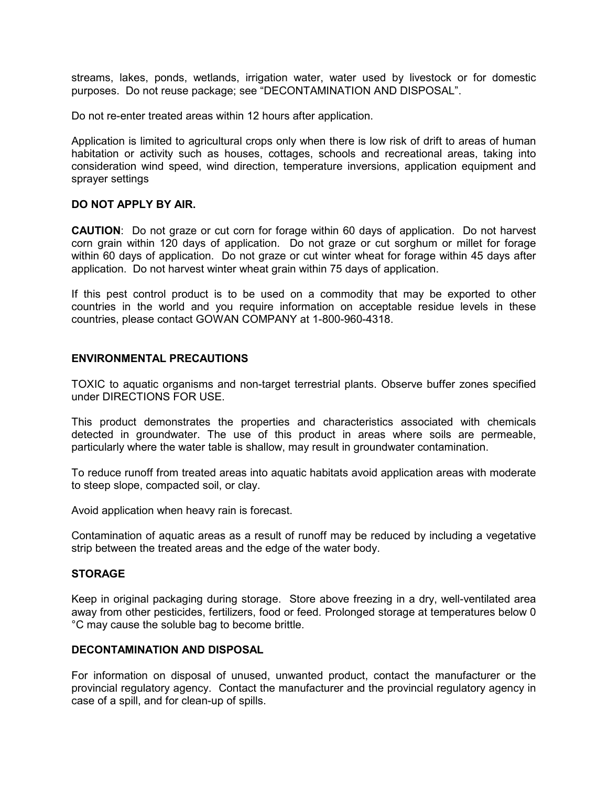streams, lakes, ponds, wetlands, irrigation water, water used by livestock or for domestic purposes. Do not reuse package; see "DECONTAMINATION AND DISPOSAL".

Do not re-enter treated areas within 12 hours after application.

Application is limited to agricultural crops only when there is low risk of drift to areas of human habitation or activity such as houses, cottages, schools and recreational areas, taking into consideration wind speed, wind direction, temperature inversions, application equipment and sprayer settings

#### **DO NOT APPLY BY AIR.**

**CAUTION**: Do not graze or cut corn for forage within 60 days of application. Do not harvest corn grain within 120 days of application. Do not graze or cut sorghum or millet for forage within 60 days of application. Do not graze or cut winter wheat for forage within 45 days after application. Do not harvest winter wheat grain within 75 days of application.

If this pest control product is to be used on a commodity that may be exported to other countries in the world and you require information on acceptable residue levels in these countries, please contact GOWAN COMPANY at 1-800-960-4318.

#### **ENVIRONMENTAL PRECAUTIONS**

TOXIC to aquatic organisms and non-target terrestrial plants. Observe buffer zones specified under DIRECTIONS FOR USE.

This product demonstrates the properties and characteristics associated with chemicals detected in groundwater. The use of this product in areas where soils are permeable, particularly where the water table is shallow, may result in groundwater contamination.

To reduce runoff from treated areas into aquatic habitats avoid application areas with moderate to steep slope, compacted soil, or clay.

Avoid application when heavy rain is forecast.

Contamination of aquatic areas as a result of runoff may be reduced by including a vegetative strip between the treated areas and the edge of the water body.

# **STORAGE**

Keep in original packaging during storage. Store above freezing in a dry, well-ventilated area away from other pesticides, fertilizers, food or feed. Prolonged storage at temperatures below 0 °C may cause the soluble bag to become brittle.

# **DECONTAMINATION AND DISPOSAL**

For information on disposal of unused, unwanted product, contact the manufacturer or the provincial regulatory agency. Contact the manufacturer and the provincial regulatory agency in case of a spill, and for clean-up of spills.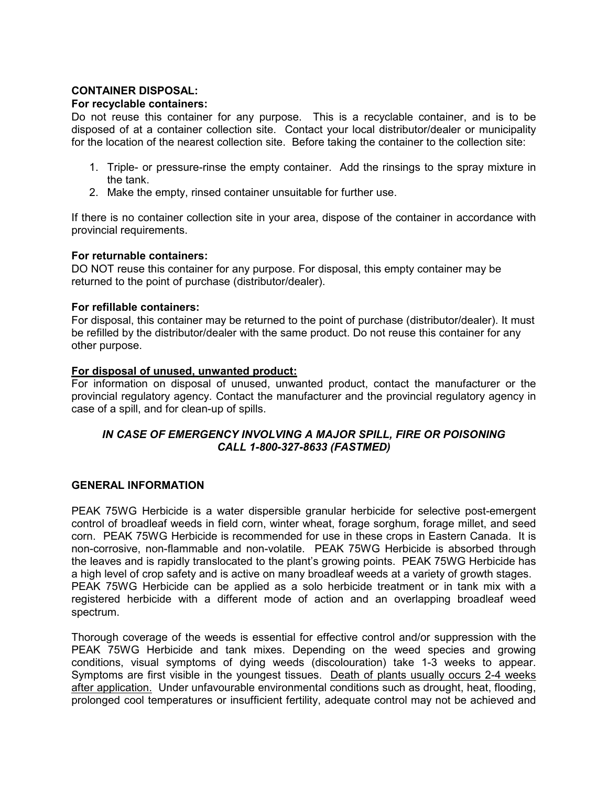# **CONTAINER DISPOSAL:**

#### **For recyclable containers:**

Do not reuse this container for any purpose. This is a recyclable container, and is to be disposed of at a container collection site. Contact your local distributor/dealer or municipality for the location of the nearest collection site. Before taking the container to the collection site:

- 1. Triple- or pressure-rinse the empty container. Add the rinsings to the spray mixture in the tank.
- 2. Make the empty, rinsed container unsuitable for further use.

If there is no container collection site in your area, dispose of the container in accordance with provincial requirements.

#### **For returnable containers:**

DO NOT reuse this container for any purpose. For disposal, this empty container may be returned to the point of purchase (distributor/dealer).

# **For refillable containers:**

For disposal, this container may be returned to the point of purchase (distributor/dealer). It must be refilled by the distributor/dealer with the same product. Do not reuse this container for any other purpose.

# **For disposal of unused, unwanted product:**

For information on disposal of unused, unwanted product, contact the manufacturer or the provincial regulatory agency. Contact the manufacturer and the provincial regulatory agency in case of a spill, and for clean-up of spills.

# *IN CASE OF EMERGENCY INVOLVING A MAJOR SPILL, FIRE OR POISONING CALL 1-800-327-8633 (FASTMED)*

#### **GENERAL INFORMATION**

PEAK 75WG Herbicide is a water dispersible granular herbicide for selective post-emergent control of broadleaf weeds in field corn, winter wheat, forage sorghum, forage millet, and seed corn. PEAK 75WG Herbicide is recommended for use in these crops in Eastern Canada. It is non-corrosive, non-flammable and non-volatile. PEAK 75WG Herbicide is absorbed through the leaves and is rapidly translocated to the plant's growing points. PEAK 75WG Herbicide has a high level of crop safety and is active on many broadleaf weeds at a variety of growth stages. PEAK 75WG Herbicide can be applied as a solo herbicide treatment or in tank mix with a registered herbicide with a different mode of action and an overlapping broadleaf weed spectrum.

Thorough coverage of the weeds is essential for effective control and/or suppression with the PEAK 75WG Herbicide and tank mixes. Depending on the weed species and growing conditions, visual symptoms of dying weeds (discolouration) take 1-3 weeks to appear. Symptoms are first visible in the youngest tissues. Death of plants usually occurs 2-4 weeks after application. Under unfavourable environmental conditions such as drought, heat, flooding, prolonged cool temperatures or insufficient fertility, adequate control may not be achieved and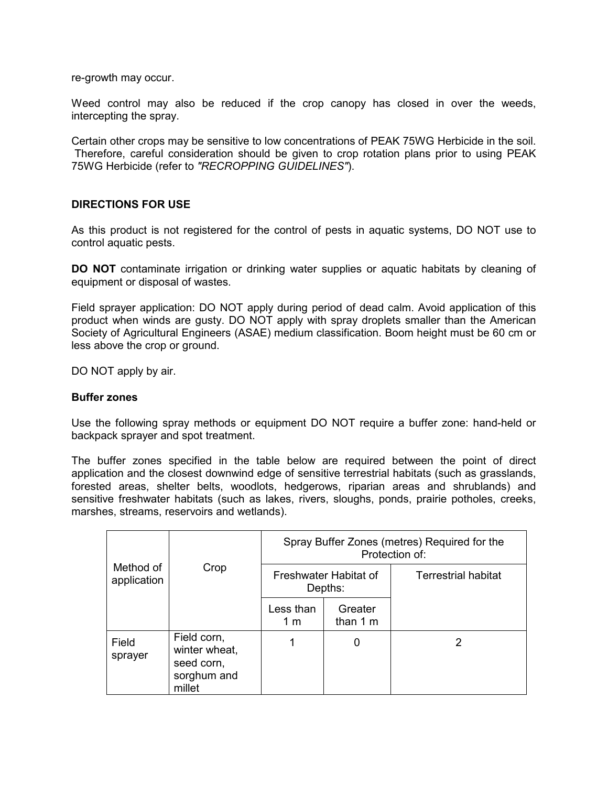re-growth may occur.

Weed control may also be reduced if the crop canopy has closed in over the weeds, intercepting the spray.

Certain other crops may be sensitive to low concentrations of PEAK 75WG Herbicide in the soil. Therefore, careful consideration should be given to crop rotation plans prior to using PEAK 75WG Herbicide (refer to *"RECROPPING GUIDELINES"*).

#### **DIRECTIONS FOR USE**

As this product is not registered for the control of pests in aquatic systems, DO NOT use to control aquatic pests.

**DO NOT** contaminate irrigation or drinking water supplies or aquatic habitats by cleaning of equipment or disposal of wastes.

Field sprayer application: DO NOT apply during period of dead calm. Avoid application of this product when winds are gusty. DO NOT apply with spray droplets smaller than the American Society of Agricultural Engineers (ASAE) medium classification. Boom height must be 60 cm or less above the crop or ground.

DO NOT apply by air.

#### **Buffer zones**

Use the following spray methods or equipment DO NOT require a buffer zone: hand-held or backpack sprayer and spot treatment.

The buffer zones specified in the table below are required between the point of direct application and the closest downwind edge of sensitive terrestrial habitats (such as grasslands, forested areas, shelter belts, woodlots, hedgerows, riparian areas and shrublands) and sensitive freshwater habitats (such as lakes, rivers, sloughs, ponds, prairie potholes, creeks, marshes, streams, reservoirs and wetlands).

|                          |                                                                     | Spray Buffer Zones (metres) Required for the<br>Protection of: |                      |                     |  |
|--------------------------|---------------------------------------------------------------------|----------------------------------------------------------------|----------------------|---------------------|--|
| Method of<br>application | Crop                                                                | Freshwater Habitat of<br>Depths:                               |                      | Terrestrial habitat |  |
|                          |                                                                     | Less than<br>1 m                                               | Greater<br>than $1m$ |                     |  |
| Field<br>sprayer         | Field corn,<br>winter wheat,<br>seed corn,<br>sorghum and<br>millet |                                                                | 0                    | 2                   |  |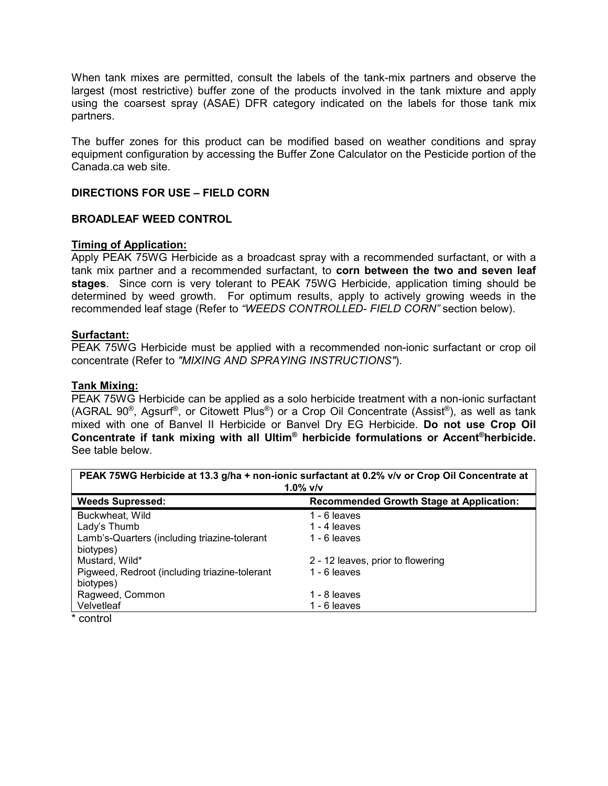When tank mixes are permitted, consult the labels of the tank-mix partners and observe the largest (most restrictive) buffer zone of the products involved in the tank mixture and apply using the coarsest spray (ASAE) DFR category indicated on the labels for those tank mix partners.

The buffer zones for this product can be modified based on weather conditions and spray equipment configuration by accessing the Buffer Zone Calculator on the Pesticide portion of the Canada.ca web site.

# **DIRECTIONS FOR USE – FIELD CORN**

# **BROADLEAF WEED CONTROL**

# **Timing of Application:**

Apply PEAK 75WG Herbicide as a broadcast spray with a recommended surfactant, or with a tank mix partner and a recommended surfactant, to **corn between the two and seven leaf stages**. Since corn is very tolerant to PEAK 75WG Herbicide, application timing should be determined by weed growth. For optimum results, apply to actively growing weeds in the recommended leaf stage (Refer to *"WEEDS CONTROLLED- FIELD CORN"* section below).

#### **Surfactant:**

PEAK 75WG Herbicide must be applied with a recommended non-ionic surfactant or crop oil concentrate (Refer to *"MIXING AND SPRAYING INSTRUCTIONS"*).

# **Tank Mixing:**

PEAK 75WG Herbicide can be applied as a solo herbicide treatment with a non-ionic surfactant (AGRAL 90<sup>®</sup>, Agsurf<sup>®</sup>, or Citowett Plus<sup>®</sup>) or a Crop Oil Concentrate (Assist<sup>®</sup>), as well as tank mixed with one of Banvel II Herbicide or Banvel Dry EG Herbicide. **Do not use Crop Oil Concentrate if tank mixing with all Ultim® herbicide formulations or Accent®herbicide.** See table below.

| PEAK 75WG Herbicide at 13.3 g/ha + non-ionic surfactant at 0.2% v/v or Crop Oil Concentrate at<br>1.0% $v/v$ |                                                 |  |  |  |
|--------------------------------------------------------------------------------------------------------------|-------------------------------------------------|--|--|--|
| <b>Weeds Supressed:</b>                                                                                      | <b>Recommended Growth Stage at Application:</b> |  |  |  |
| Buckwheat, Wild                                                                                              | 1 - 6 leaves                                    |  |  |  |
| Lady's Thumb                                                                                                 | 1 - 4 leaves                                    |  |  |  |
| Lamb's-Quarters (including triazine-tolerant                                                                 | 1 - 6 leaves                                    |  |  |  |
| biotypes)                                                                                                    |                                                 |  |  |  |
| Mustard, Wild*                                                                                               | 2 - 12 leaves, prior to flowering               |  |  |  |
| Pigweed, Redroot (including triazine-tolerant                                                                | 1 - 6 leaves                                    |  |  |  |
| biotypes)                                                                                                    |                                                 |  |  |  |
| Ragweed, Common                                                                                              | 1 - 8 leaves                                    |  |  |  |
| Velvetleaf                                                                                                   | 1 - 6 leaves                                    |  |  |  |
|                                                                                                              |                                                 |  |  |  |

control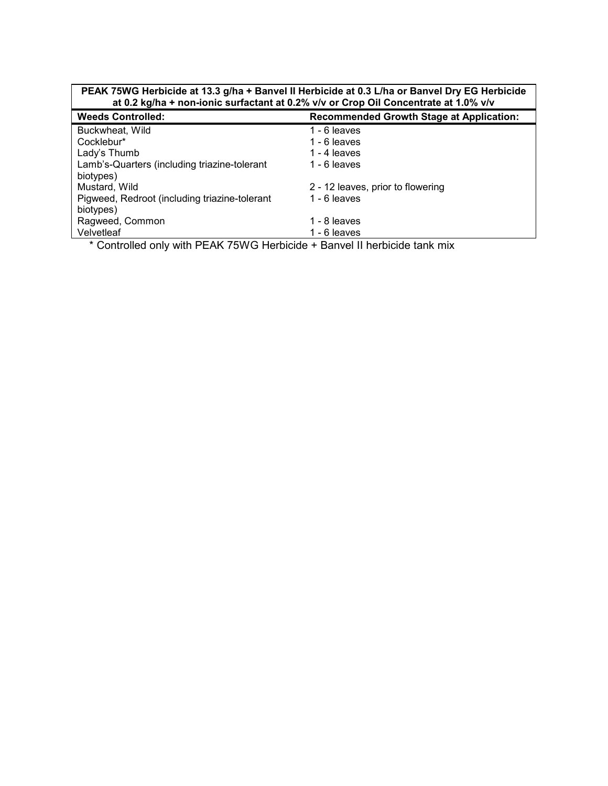| PEAK 75WG Herbicide at 13.3 g/ha + Banvel II Herbicide at 0.3 L/ha or Banvel Dry EG Herbicide<br>at 0.2 kg/ha + non-ionic surfactant at 0.2% v/v or Crop Oil Concentrate at 1.0% v/v |  |  |  |
|--------------------------------------------------------------------------------------------------------------------------------------------------------------------------------------|--|--|--|
| <b>Recommended Growth Stage at Application:</b>                                                                                                                                      |  |  |  |
| 1 - 6 leaves                                                                                                                                                                         |  |  |  |
| 1 - 6 leaves                                                                                                                                                                         |  |  |  |
| 1 - 4 $leaves$                                                                                                                                                                       |  |  |  |
| 1 - 6 leaves                                                                                                                                                                         |  |  |  |
|                                                                                                                                                                                      |  |  |  |
| 2 - 12 leaves, prior to flowering                                                                                                                                                    |  |  |  |
| 1 - 6 leaves                                                                                                                                                                         |  |  |  |
|                                                                                                                                                                                      |  |  |  |
| 1 - 8 leaves                                                                                                                                                                         |  |  |  |
| 1 - 6 leaves                                                                                                                                                                         |  |  |  |
|                                                                                                                                                                                      |  |  |  |

\* Controlled only with PEAK 75WG Herbicide + Banvel II herbicide tank mix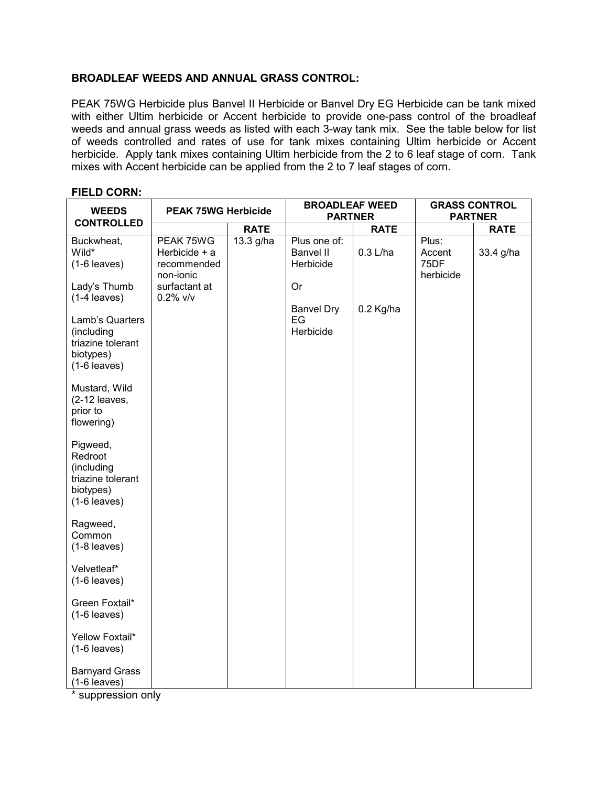# **BROADLEAF WEEDS AND ANNUAL GRASS CONTROL:**

PEAK 75WG Herbicide plus Banvel II Herbicide or Banvel Dry EG Herbicide can be tank mixed with either Ultim herbicide or Accent herbicide to provide one-pass control of the broadleaf weeds and annual grass weeds as listed with each 3-way tank mix. See the table below for list of weeds controlled and rates of use for tank mixes containing Ultim herbicide or Accent herbicide. Apply tank mixes containing Ultim herbicide from the 2 to 6 leaf stage of corn. Tank mixes with Accent herbicide can be applied from the 2 to 7 leaf stages of corn.

| <b>WEEDS</b>                                                                                        | <b>PEAK 75WG Herbicide</b>                                              |             | <b>BROADLEAF WEED</b><br><b>PARTNER</b>             |             |                                      | <b>GRASS CONTROL</b><br><b>PARTNER</b> |
|-----------------------------------------------------------------------------------------------------|-------------------------------------------------------------------------|-------------|-----------------------------------------------------|-------------|--------------------------------------|----------------------------------------|
| <b>CONTROLLED</b>                                                                                   |                                                                         | <b>RATE</b> |                                                     | <b>RATE</b> |                                      | <b>RATE</b>                            |
| Buckwheat,<br>Wild*<br>$(1-6$ leaves)<br>Lady's Thumb                                               | PEAK 75WG<br>Herbicide + a<br>recommended<br>non-ionic<br>surfactant at | 13.3 g/ha   | Plus one of:<br><b>Banvel II</b><br>Herbicide<br>Or | $0.3$ L/ha  | Plus:<br>Accent<br>75DF<br>herbicide | 33.4 g/ha                              |
| $(1-4$ leaves)<br>Lamb's Quarters<br>(including<br>triazine tolerant<br>biotypes)<br>$(1-6$ leaves) | $0.2\%$ v/v                                                             |             | <b>Banvel Dry</b><br>EG<br>Herbicide                | 0.2 Kg/ha   |                                      |                                        |
| Mustard, Wild<br>(2-12 leaves,<br>prior to<br>flowering)                                            |                                                                         |             |                                                     |             |                                      |                                        |
| Pigweed,<br>Redroot<br>(including<br>triazine tolerant<br>biotypes)<br>$(1-6$ leaves)               |                                                                         |             |                                                     |             |                                      |                                        |
| Ragweed,<br>Common<br>$(1-8$ leaves)                                                                |                                                                         |             |                                                     |             |                                      |                                        |
| Velvetleaf*<br>$(1-6$ leaves)                                                                       |                                                                         |             |                                                     |             |                                      |                                        |
| Green Foxtail*<br>$(1-6$ leaves)                                                                    |                                                                         |             |                                                     |             |                                      |                                        |
| Yellow Foxtail*<br>$(1-6$ leaves)                                                                   |                                                                         |             |                                                     |             |                                      |                                        |
| <b>Barnyard Grass</b><br>$(1-6$ leaves)                                                             |                                                                         |             |                                                     |             |                                      |                                        |

#### **FIELD CORN:**

\* suppression only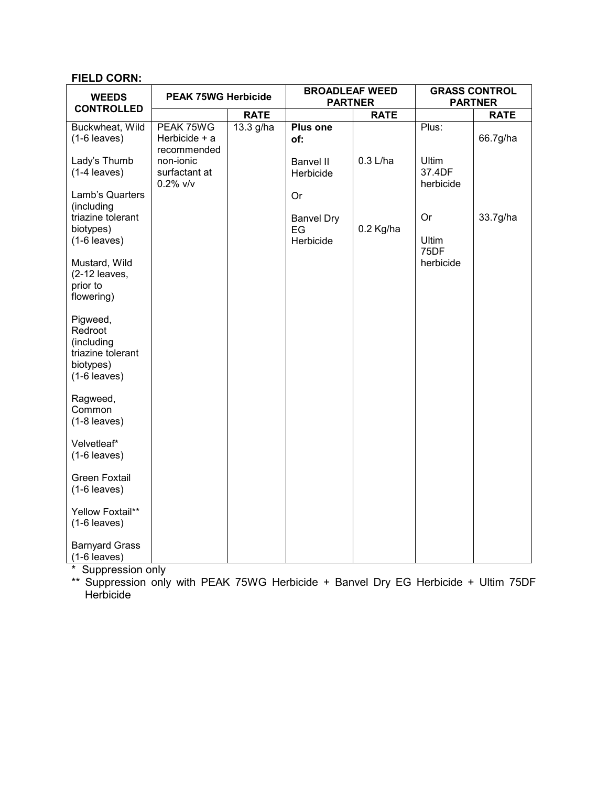# **FIELD CORN:**

| <b>WEEDS</b>                                                                          | <b>PEAK 75WG Herbicide</b>                |             | <b>BROADLEAF WEED</b><br><b>PARTNER</b> |             |                                     | <b>GRASS CONTROL</b><br><b>PARTNER</b> |
|---------------------------------------------------------------------------------------|-------------------------------------------|-------------|-----------------------------------------|-------------|-------------------------------------|----------------------------------------|
| <b>CONTROLLED</b>                                                                     |                                           | <b>RATE</b> |                                         | <b>RATE</b> |                                     | <b>RATE</b>                            |
| Buckwheat, Wild<br>$(1-6$ leaves)                                                     | PEAK 75WG<br>Herbicide + a<br>recommended | 13.3 g/ha   | <b>Plus one</b><br>of:                  |             | Plus:                               | 66.7g/ha                               |
| Lady's Thumb<br>$(1-4$ leaves)                                                        | non-ionic<br>surfactant at<br>$0.2\%$ v/v |             | <b>Banvel II</b><br>Herbicide           | $0.3$ L/ha  | <b>Ultim</b><br>37.4DF<br>herbicide |                                        |
| Lamb's Quarters<br>(including                                                         |                                           |             | Or                                      |             | Or                                  |                                        |
| triazine tolerant<br>biotypes)<br>$(1-6$ leaves)                                      |                                           |             | <b>Banvel Dry</b><br>EG<br>Herbicide    | 0.2 Kg/ha   | Ultim                               | 33.7g/ha                               |
| Mustard, Wild                                                                         |                                           |             |                                         |             | 75DF<br>herbicide                   |                                        |
| $(2-12$ leaves,<br>prior to<br>flowering)                                             |                                           |             |                                         |             |                                     |                                        |
| Pigweed,<br>Redroot<br>(including<br>triazine tolerant<br>biotypes)<br>$(1-6$ leaves) |                                           |             |                                         |             |                                     |                                        |
| Ragweed,<br>Common<br>$(1-8$ leaves)                                                  |                                           |             |                                         |             |                                     |                                        |
| Velvetleaf*<br>$(1-6$ leaves)                                                         |                                           |             |                                         |             |                                     |                                        |
| <b>Green Foxtail</b><br>$(1-6$ leaves)                                                |                                           |             |                                         |             |                                     |                                        |
| Yellow Foxtail**<br>$(1-6$ leaves)                                                    |                                           |             |                                         |             |                                     |                                        |
| <b>Barnyard Grass</b><br>$(1-6$ leaves)                                               |                                           |             |                                         |             |                                     |                                        |

\* Suppression only

\*\* Suppression only with PEAK 75WG Herbicide + Banvel Dry EG Herbicide + Ultim 75DF Herbicide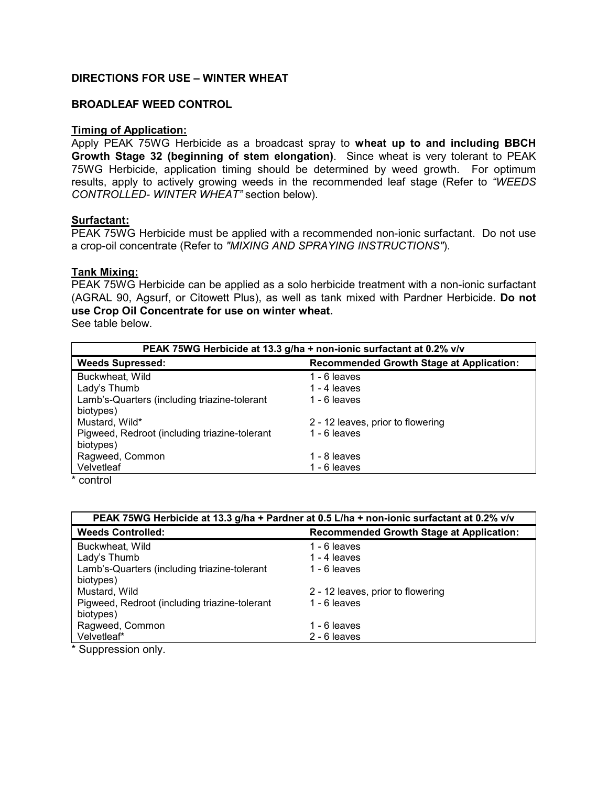# **DIRECTIONS FOR USE – WINTER WHEAT**

#### **BROADLEAF WEED CONTROL**

#### **Timing of Application:**

Apply PEAK 75WG Herbicide as a broadcast spray to **wheat up to and including BBCH Growth Stage 32 (beginning of stem elongation)**. Since wheat is very tolerant to PEAK 75WG Herbicide, application timing should be determined by weed growth. For optimum results, apply to actively growing weeds in the recommended leaf stage (Refer to *"WEEDS CONTROLLED- WINTER WHEAT"* section below).

#### **Surfactant:**

PEAK 75WG Herbicide must be applied with a recommended non-ionic surfactant. Do not use a crop-oil concentrate (Refer to *"MIXING AND SPRAYING INSTRUCTIONS"*).

#### **Tank Mixing:**

PEAK 75WG Herbicide can be applied as a solo herbicide treatment with a non-ionic surfactant (AGRAL 90, Agsurf, or Citowett Plus), as well as tank mixed with Pardner Herbicide. **Do not use Crop Oil Concentrate for use on winter wheat.**

See table below.

| PEAK 75WG Herbicide at 13.3 g/ha + non-ionic surfactant at 0.2% v/v |                                                 |  |
|---------------------------------------------------------------------|-------------------------------------------------|--|
| <b>Weeds Supressed:</b>                                             | <b>Recommended Growth Stage at Application:</b> |  |
| Buckwheat, Wild                                                     | 1 - 6 leaves                                    |  |
| Lady's Thumb                                                        | 1 - 4 leaves                                    |  |
| Lamb's-Quarters (including triazine-tolerant                        | 1 - 6 leaves                                    |  |
| biotypes)                                                           |                                                 |  |
| Mustard, Wild*                                                      | 2 - 12 leaves, prior to flowering               |  |
| Pigweed, Redroot (including triazine-tolerant                       | 1 - 6 leaves                                    |  |
| biotypes)                                                           |                                                 |  |
| Ragweed, Common                                                     | 1 - 8 leaves                                    |  |
| Velvetleaf                                                          | 1 - 6 leaves                                    |  |
| * ------                                                            |                                                 |  |

\* control

| PEAK 75WG Herbicide at 13.3 g/ha + Pardner at 0.5 L/ha + non-ionic surfactant at 0.2% v/v |                                                 |  |
|-------------------------------------------------------------------------------------------|-------------------------------------------------|--|
| <b>Weeds Controlled:</b>                                                                  | <b>Recommended Growth Stage at Application:</b> |  |
| Buckwheat, Wild                                                                           | 1 - 6 leaves                                    |  |
| Lady's Thumb                                                                              | 1 - 4 leaves                                    |  |
| Lamb's-Quarters (including triazine-tolerant                                              | 1 - 6 leaves                                    |  |
| biotypes)                                                                                 |                                                 |  |
| Mustard, Wild                                                                             | 2 - 12 leaves, prior to flowering               |  |
| Pigweed, Redroot (including triazine-tolerant                                             | 1 - 6 leaves                                    |  |
| biotypes)                                                                                 |                                                 |  |
| Ragweed, Common                                                                           | 1 - 6 leaves                                    |  |
| Velvetleaf*                                                                               | 2 - 6 leaves                                    |  |
| $*$ $C$                                                                                   |                                                 |  |

Suppression only.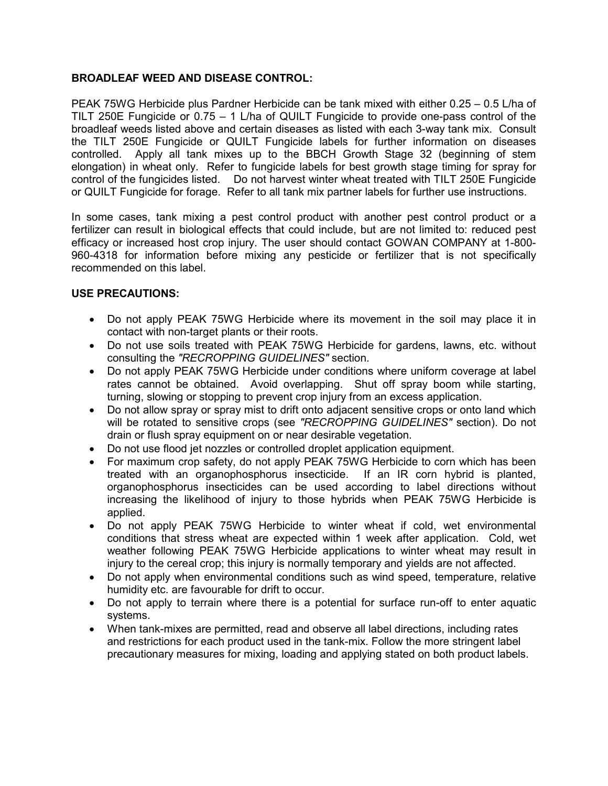# **BROADLEAF WEED AND DISEASE CONTROL:**

PEAK 75WG Herbicide plus Pardner Herbicide can be tank mixed with either 0.25 – 0.5 L/ha of TILT 250E Fungicide or 0.75 – 1 L/ha of QUILT Fungicide to provide one-pass control of the broadleaf weeds listed above and certain diseases as listed with each 3-way tank mix. Consult the TILT 250E Fungicide or QUILT Fungicide labels for further information on diseases controlled. Apply all tank mixes up to the BBCH Growth Stage 32 (beginning of stem elongation) in wheat only. Refer to fungicide labels for best growth stage timing for spray for control of the fungicides listed. Do not harvest winter wheat treated with TILT 250E Fungicide or QUILT Fungicide for forage. Refer to all tank mix partner labels for further use instructions.

In some cases, tank mixing a pest control product with another pest control product or a fertilizer can result in biological effects that could include, but are not limited to: reduced pest efficacy or increased host crop injury. The user should contact GOWAN COMPANY at 1-800- 960-4318 for information before mixing any pesticide or fertilizer that is not specifically recommended on this label.

# **USE PRECAUTIONS:**

- Do not apply PEAK 75WG Herbicide where its movement in the soil may place it in contact with non-target plants or their roots.
- Do not use soils treated with PEAK 75WG Herbicide for gardens, lawns, etc. without consulting the *"RECROPPING GUIDELINES"* section.
- Do not apply PEAK 75WG Herbicide under conditions where uniform coverage at label rates cannot be obtained. Avoid overlapping. Shut off spray boom while starting, turning, slowing or stopping to prevent crop injury from an excess application.
- Do not allow spray or spray mist to drift onto adjacent sensitive crops or onto land which will be rotated to sensitive crops (see *"RECROPPING GUIDELINES"* section). Do not drain or flush spray equipment on or near desirable vegetation.
- Do not use flood jet nozzles or controlled droplet application equipment.
- For maximum crop safety, do not apply PEAK 75WG Herbicide to corn which has been treated with an organophosphorus insecticide. If an IR corn hybrid is planted, organophosphorus insecticides can be used according to label directions without increasing the likelihood of injury to those hybrids when PEAK 75WG Herbicide is applied.
- Do not apply PEAK 75WG Herbicide to winter wheat if cold, wet environmental conditions that stress wheat are expected within 1 week after application. Cold, wet weather following PEAK 75WG Herbicide applications to winter wheat may result in injury to the cereal crop; this injury is normally temporary and yields are not affected.
- Do not apply when environmental conditions such as wind speed, temperature, relative humidity etc. are favourable for drift to occur.
- Do not apply to terrain where there is a potential for surface run-off to enter aquatic systems.
- When tank-mixes are permitted, read and observe all label directions, including rates and restrictions for each product used in the tank-mix. Follow the more stringent label precautionary measures for mixing, loading and applying stated on both product labels.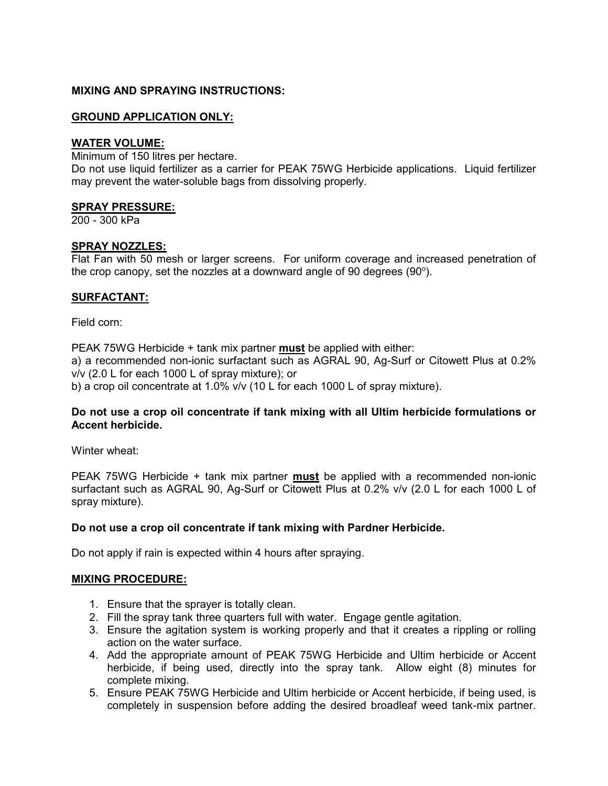# **MIXING AND SPRAYING INSTRUCTIONS:**

# **GROUND APPLICATION ONLY:**

#### **WATER VOLUME:**

Minimum of 150 litres per hectare.

Do not use liquid fertilizer as a carrier for PEAK 75WG Herbicide applications. Liquid fertilizer may prevent the water-soluble bags from dissolving properly.

#### **SPRAY PRESSURE:**

200 - 300 kPa

#### **SPRAY NOZZLES:**

Flat Fan with 50 mesh or larger screens. For uniform coverage and increased penetration of the crop canopy, set the nozzles at a downward angle of 90 degrees  $(90^{\circ})$ .

# **SURFACTANT:**

Field corn:

PEAK 75WG Herbicide + tank mix partner **must** be applied with either: a) a recommended non-ionic surfactant such as AGRAL 90, Ag-Surf or Citowett Plus at 0.2% v/v (2.0 L for each 1000 L of spray mixture); or

b) a crop oil concentrate at 1.0% v/v (10 L for each 1000 L of spray mixture).

# **Do not use a crop oil concentrate if tank mixing with all Ultim herbicide formulations or Accent herbicide.**

Winter wheat:

PEAK 75WG Herbicide + tank mix partner **must** be applied with a recommended non-ionic surfactant such as AGRAL 90, Ag-Surf or Citowett Plus at 0.2% v/v (2.0 L for each 1000 L of spray mixture).

# **Do not use a crop oil concentrate if tank mixing with Pardner Herbicide.**

Do not apply if rain is expected within 4 hours after spraying.

#### **MIXING PROCEDURE:**

- 1. Ensure that the sprayer is totally clean.
- 2. Fill the spray tank three quarters full with water. Engage gentle agitation.
- 3. Ensure the agitation system is working properly and that it creates a rippling or rolling action on the water surface.
- 4. Add the appropriate amount of PEAK 75WG Herbicide and Ultim herbicide or Accent herbicide, if being used, directly into the spray tank. Allow eight (8) minutes for complete mixing.
- 5. Ensure PEAK 75WG Herbicide and Ultim herbicide or Accent herbicide, if being used, is completely in suspension before adding the desired broadleaf weed tank-mix partner.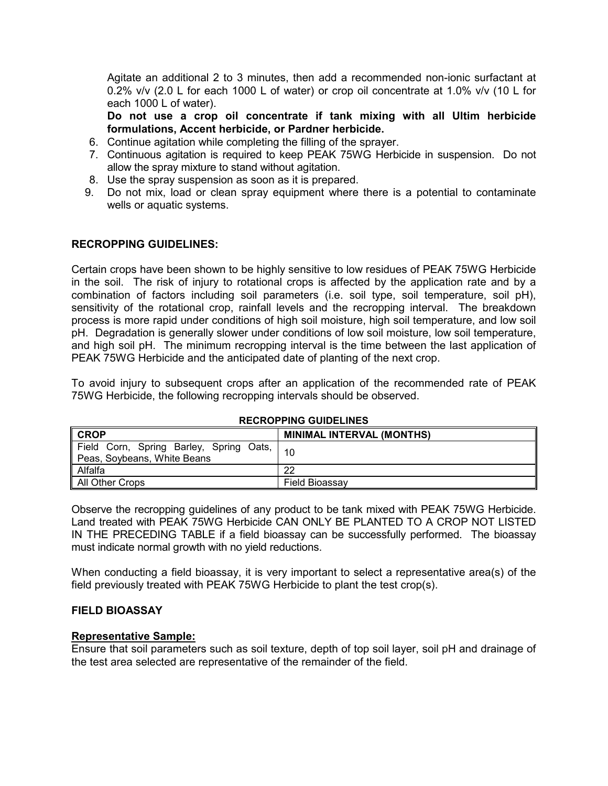Agitate an additional 2 to 3 minutes, then add a recommended non-ionic surfactant at 0.2% v/v (2.0 L for each 1000 L of water) or crop oil concentrate at 1.0% v/v (10 L for each 1000 L of water).

**Do not use a crop oil concentrate if tank mixing with all Ultim herbicide formulations, Accent herbicide, or Pardner herbicide.** 

- 6. Continue agitation while completing the filling of the sprayer.
- 7. Continuous agitation is required to keep PEAK 75WG Herbicide in suspension. Do not allow the spray mixture to stand without agitation.
- 8. Use the spray suspension as soon as it is prepared.
- 9. Do not mix, load or clean spray equipment where there is a potential to contaminate wells or aquatic systems.

# **RECROPPING GUIDELINES:**

Certain crops have been shown to be highly sensitive to low residues of PEAK 75WG Herbicide in the soil. The risk of injury to rotational crops is affected by the application rate and by a combination of factors including soil parameters (i.e. soil type, soil temperature, soil pH), sensitivity of the rotational crop, rainfall levels and the recropping interval. The breakdown process is more rapid under conditions of high soil moisture, high soil temperature, and low soil pH. Degradation is generally slower under conditions of low soil moisture, low soil temperature, and high soil pH. The minimum recropping interval is the time between the last application of PEAK 75WG Herbicide and the anticipated date of planting of the next crop.

To avoid injury to subsequent crops after an application of the recommended rate of PEAK 75WG Herbicide, the following recropping intervals should be observed.

| ∥ CROP                                                                 | <b>MINIMAL INTERVAL (MONTHS)</b> |
|------------------------------------------------------------------------|----------------------------------|
| Field Corn, Spring Barley, Spring Oats,<br>Peas, Soybeans, White Beans |                                  |
| ll Alfalfa                                                             | 22                               |
| All Other Crops                                                        | Field Bioassav                   |

#### **RECROPPING GUIDELINES**

Observe the recropping guidelines of any product to be tank mixed with PEAK 75WG Herbicide. Land treated with PEAK 75WG Herbicide CAN ONLY BE PLANTED TO A CROP NOT LISTED IN THE PRECEDING TABLE if a field bioassay can be successfully performed. The bioassay must indicate normal growth with no yield reductions.

When conducting a field bioassay, it is very important to select a representative area(s) of the field previously treated with PEAK 75WG Herbicide to plant the test crop(s).

#### **FIELD BIOASSAY**

#### **Representative Sample:**

Ensure that soil parameters such as soil texture, depth of top soil layer, soil pH and drainage of the test area selected are representative of the remainder of the field.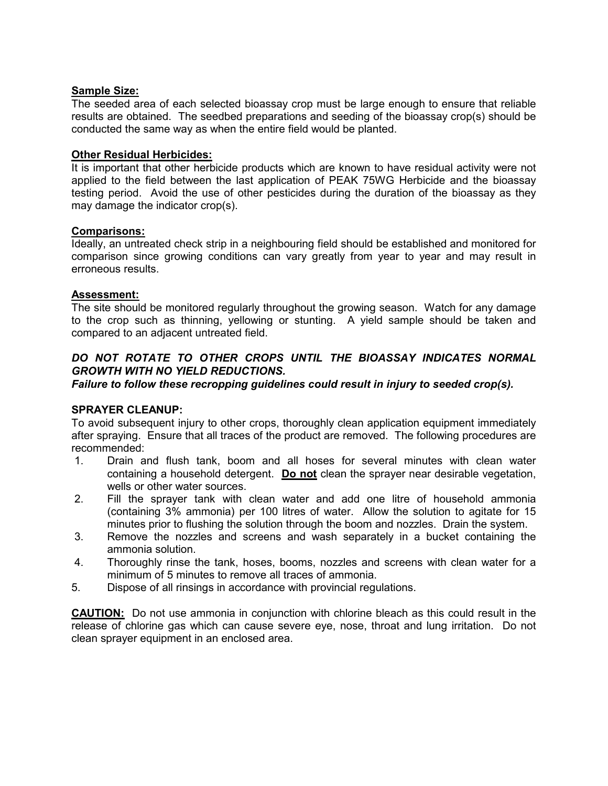# **Sample Size:**

The seeded area of each selected bioassay crop must be large enough to ensure that reliable results are obtained. The seedbed preparations and seeding of the bioassay crop(s) should be conducted the same way as when the entire field would be planted.

# **Other Residual Herbicides:**

It is important that other herbicide products which are known to have residual activity were not applied to the field between the last application of PEAK 75WG Herbicide and the bioassay testing period. Avoid the use of other pesticides during the duration of the bioassay as they may damage the indicator crop(s).

# **Comparisons:**

Ideally, an untreated check strip in a neighbouring field should be established and monitored for comparison since growing conditions can vary greatly from year to year and may result in erroneous results.

# **Assessment:**

The site should be monitored regularly throughout the growing season. Watch for any damage to the crop such as thinning, yellowing or stunting. A yield sample should be taken and compared to an adjacent untreated field.

# *DO NOT ROTATE TO OTHER CROPS UNTIL THE BIOASSAY INDICATES NORMAL GROWTH WITH NO YIELD REDUCTIONS.*

*Failure to follow these recropping guidelines could result in injury to seeded crop(s).*

# **SPRAYER CLEANUP:**

To avoid subsequent injury to other crops, thoroughly clean application equipment immediately after spraying. Ensure that all traces of the product are removed. The following procedures are recommended:

- 1. Drain and flush tank, boom and all hoses for several minutes with clean water containing a household detergent. **Do not** clean the sprayer near desirable vegetation, wells or other water sources.
- 2. Fill the sprayer tank with clean water and add one litre of household ammonia (containing 3% ammonia) per 100 litres of water. Allow the solution to agitate for 15 minutes prior to flushing the solution through the boom and nozzles. Drain the system.
- 3. Remove the nozzles and screens and wash separately in a bucket containing the ammonia solution.
- 4. Thoroughly rinse the tank, hoses, booms, nozzles and screens with clean water for a minimum of 5 minutes to remove all traces of ammonia.
- 5. Dispose of all rinsings in accordance with provincial regulations.

**CAUTION:** Do not use ammonia in conjunction with chlorine bleach as this could result in the release of chlorine gas which can cause severe eye, nose, throat and lung irritation. Do not clean sprayer equipment in an enclosed area.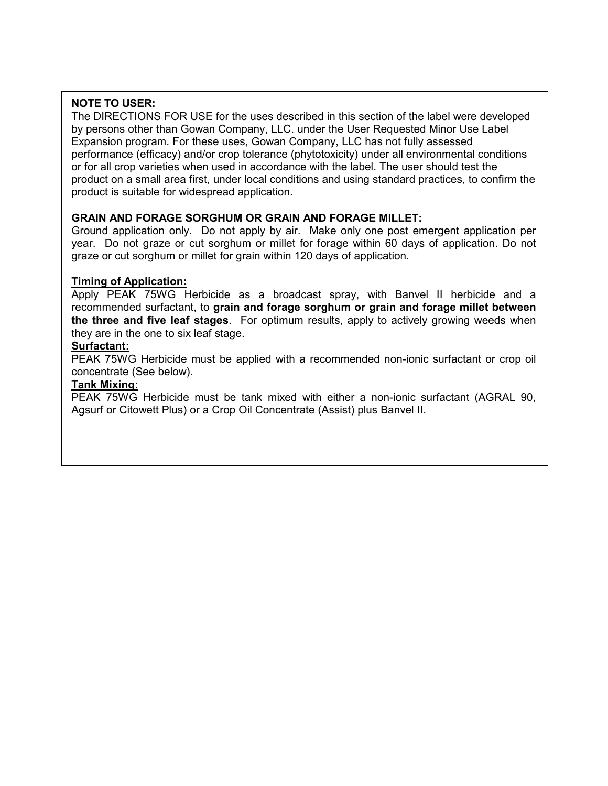# **NOTE TO USER:**

The DIRECTIONS FOR USE for the uses described in this section of the label were developed by persons other than Gowan Company, LLC. under the User Requested Minor Use Label Expansion program. For these uses, Gowan Company, LLC has not fully assessed performance (efficacy) and/or crop tolerance (phytotoxicity) under all environmental conditions or for all crop varieties when used in accordance with the label. The user should test the product on a small area first, under local conditions and using standard practices, to confirm the product is suitable for widespread application.

# **GRAIN AND FORAGE SORGHUM OR GRAIN AND FORAGE MILLET:**

Ground application only. Do not apply by air. Make only one post emergent application per year. Do not graze or cut sorghum or millet for forage within 60 days of application. Do not graze or cut sorghum or millet for grain within 120 days of application.

# **Timing of Application:**

Apply PEAK 75WG Herbicide as a broadcast spray, with Banvel II herbicide and a recommended surfactant, to **grain and forage sorghum or grain and forage millet between the three and five leaf stages**. For optimum results, apply to actively growing weeds when they are in the one to six leaf stage.

# **Surfactant:**

PEAK 75WG Herbicide must be applied with a recommended non-ionic surfactant or crop oil concentrate (See below).

# **Tank Mixing:**

PEAK 75WG Herbicide must be tank mixed with either a non-ionic surfactant (AGRAL 90, Agsurf or Citowett Plus) or a Crop Oil Concentrate (Assist) plus Banvel II.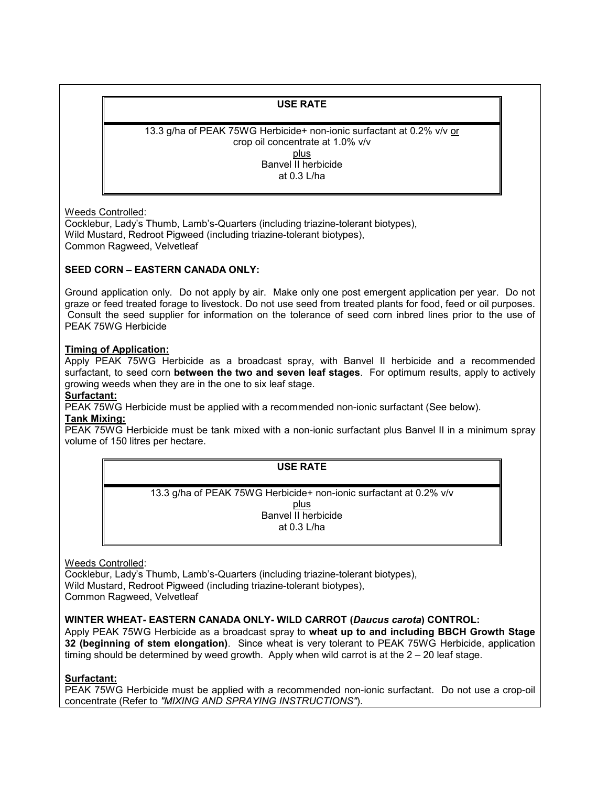# **USE RATE**

13.3 g/ha of PEAK 75WG Herbicide+ non-ionic surfactant at 0.2% v/v or crop oil concentrate at 1.0% v/v plus Banvel II herbicide at 0.3 L/ha

Weeds Controlled:

Cocklebur, Lady's Thumb, Lamb's-Quarters (including triazine-tolerant biotypes), Wild Mustard, Redroot Pigweed (including triazine-tolerant biotypes), Common Ragweed, Velvetleaf

#### **SEED CORN – EASTERN CANADA ONLY:**

Ground application only. Do not apply by air. Make only one post emergent application per year. Do not graze or feed treated forage to livestock. Do not use seed from treated plants for food, feed or oil purposes. Consult the seed supplier for information on the tolerance of seed corn inbred lines prior to the use of PEAK 75WG Herbicide

#### **Timing of Application:**

Apply PEAK 75WG Herbicide as a broadcast spray, with Banvel II herbicide and a recommended surfactant, to seed corn **between the two and seven leaf stages**. For optimum results, apply to actively growing weeds when they are in the one to six leaf stage.

# **Surfactant:**

PEAK 75WG Herbicide must be applied with a recommended non-ionic surfactant (See below).

#### **Tank Mixing:**

PEAK 75WG Herbicide must be tank mixed with a non-ionic surfactant plus Banvel II in a minimum spray volume of 150 litres per hectare.

#### **USE RATE**

13.3 g/ha of PEAK 75WG Herbicide+ non-ionic surfactant at 0.2% v/v plus Banvel II herbicide at 0.3 L/ha

Weeds Controlled:

Cocklebur, Lady's Thumb, Lamb's-Quarters (including triazine-tolerant biotypes), Wild Mustard, Redroot Pigweed (including triazine-tolerant biotypes), Common Ragweed, Velvetleaf

#### **WINTER WHEAT- EASTERN CANADA ONLY- WILD CARROT (***Daucus carota***) CONTROL:**

Apply PEAK 75WG Herbicide as a broadcast spray to **wheat up to and including BBCH Growth Stage 32 (beginning of stem elongation)**. Since wheat is very tolerant to PEAK 75WG Herbicide, application timing should be determined by weed growth. Apply when wild carrot is at the 2 – 20 leaf stage.

#### **Surfactant:**

PEAK 75WG Herbicide must be applied with a recommended non-ionic surfactant. Do not use a crop-oil concentrate (Refer to *"MIXING AND SPRAYING INSTRUCTIONS"*).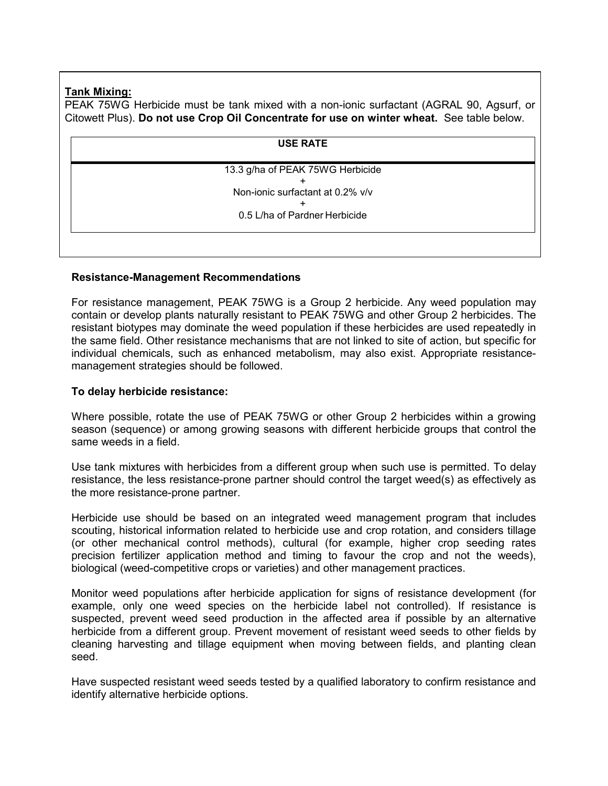# **Tank Mixing:**

PEAK 75WG Herbicide must be tank mixed with a non-ionic surfactant (AGRAL 90, Agsurf, or Citowett Plus). **Do not use Crop Oil Concentrate for use on winter wheat.** See table below.

| <b>USE RATE</b>                  |  |
|----------------------------------|--|
| 13.3 g/ha of PEAK 75WG Herbicide |  |
|                                  |  |
| Non-ionic surfactant at 0.2% v/v |  |
|                                  |  |
| 0.5 L/ha of Pardner Herbicide    |  |
|                                  |  |

# **Resistance-Management Recommendations**

For resistance management, PEAK 75WG is a Group 2 herbicide. Any weed population may contain or develop plants naturally resistant to PEAK 75WG and other Group 2 herbicides. The resistant biotypes may dominate the weed population if these herbicides are used repeatedly in the same field. Other resistance mechanisms that are not linked to site of action, but specific for individual chemicals, such as enhanced metabolism, may also exist. Appropriate resistancemanagement strategies should be followed.

# **To delay herbicide resistance:**

Where possible, rotate the use of PEAK 75WG or other Group 2 herbicides within a growing season (sequence) or among growing seasons with different herbicide groups that control the same weeds in a field.

Use tank mixtures with herbicides from a different group when such use is permitted. To delay resistance, the less resistance-prone partner should control the target weed(s) as effectively as the more resistance-prone partner.

Herbicide use should be based on an integrated weed management program that includes scouting, historical information related to herbicide use and crop rotation, and considers tillage (or other mechanical control methods), cultural (for example, higher crop seeding rates precision fertilizer application method and timing to favour the crop and not the weeds), biological (weed-competitive crops or varieties) and other management practices.

Monitor weed populations after herbicide application for signs of resistance development (for example, only one weed species on the herbicide label not controlled). If resistance is suspected, prevent weed seed production in the affected area if possible by an alternative herbicide from a different group. Prevent movement of resistant weed seeds to other fields by cleaning harvesting and tillage equipment when moving between fields, and planting clean seed.

Have suspected resistant weed seeds tested by a qualified laboratory to confirm resistance and identify alternative herbicide options.